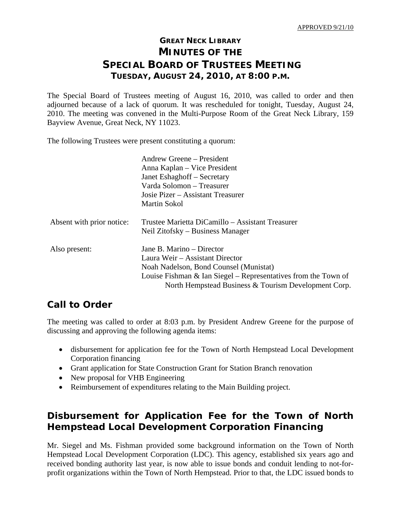# **GREAT NECK LIBRARY MINUTES OF THE SPECIAL BOARD OF TRUSTEES MEETING TUESDAY, AUGUST 24, 2010, AT 8:00 P.M.**

The Special Board of Trustees meeting of August 16, 2010, was called to order and then adjourned because of a lack of quorum. It was rescheduled for tonight, Tuesday, August 24, 2010. The meeting was convened in the Multi-Purpose Room of the Great Neck Library, 159 Bayview Avenue, Great Neck, NY 11023.

The following Trustees were present constituting a quorum:

|                           | Andrew Greene – President                                         |
|---------------------------|-------------------------------------------------------------------|
|                           | Anna Kaplan – Vice President                                      |
|                           | Janet Eshaghoff – Secretary                                       |
|                           | Varda Solomon – Treasurer                                         |
|                           | Josie Pizer – Assistant Treasurer                                 |
|                           | <b>Martin Sokol</b>                                               |
| Absent with prior notice: | Trustee Marietta DiCamillo – Assistant Treasurer                  |
|                           | Neil Zitofsky – Business Manager                                  |
| Also present:             | Jane B. Marino – Director                                         |
|                           | Laura Weir – Assistant Director                                   |
|                           | Noah Nadelson, Bond Counsel (Munistat)                            |
|                           | Louise Fishman $\&$ Ian Siegel – Representatives from the Town of |
|                           | North Hempstead Business & Tourism Development Corp.              |

### **Call to Order**

The meeting was called to order at 8:03 p.m. by President Andrew Greene for the purpose of discussing and approving the following agenda items:

- disbursement for application fee for the Town of North Hempstead Local Development Corporation financing
- Grant application for State Construction Grant for Station Branch renovation
- New proposal for VHB Engineering
- Reimbursement of expenditures relating to the Main Building project.

# **Disbursement for Application Fee for the Town of North Hempstead Local Development Corporation Financing**

Mr. Siegel and Ms. Fishman provided some background information on the Town of North Hempstead Local Development Corporation (LDC). This agency, established six years ago and received bonding authority last year, is now able to issue bonds and conduit lending to not-forprofit organizations within the Town of North Hempstead. Prior to that, the LDC issued bonds to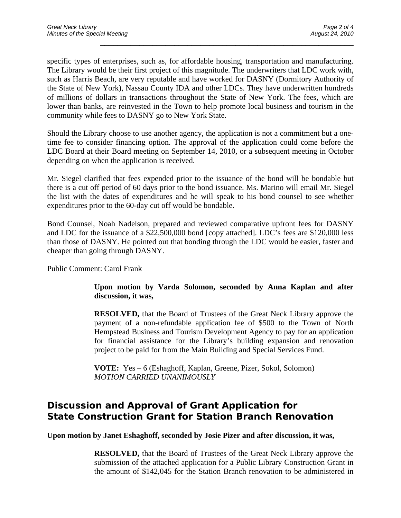specific types of enterprises, such as, for affordable housing, transportation and manufacturing. The Library would be their first project of this magnitude. The underwriters that LDC work with, such as Harris Beach, are very reputable and have worked for DASNY (Dormitory Authority of the State of New York), Nassau County IDA and other LDCs. They have underwritten hundreds of millions of dollars in transactions throughout the State of New York. The fees, which are lower than banks, are reinvested in the Town to help promote local business and tourism in the community while fees to DASNY go to New York State.

\_\_\_\_\_\_\_\_\_\_\_\_\_\_\_\_\_\_\_\_\_\_\_\_\_\_\_\_\_\_\_\_\_\_\_\_\_\_\_\_\_\_\_\_\_\_\_\_\_\_\_\_\_\_\_\_\_\_

Should the Library choose to use another agency, the application is not a commitment but a onetime fee to consider financing option. The approval of the application could come before the LDC Board at their Board meeting on September 14, 2010, or a subsequent meeting in October depending on when the application is received.

Mr. Siegel clarified that fees expended prior to the issuance of the bond will be bondable but there is a cut off period of 60 days prior to the bond issuance. Ms. Marino will email Mr. Siegel the list with the dates of expenditures and he will speak to his bond counsel to see whether expenditures prior to the 60-day cut off would be bondable.

Bond Counsel, Noah Nadelson, prepared and reviewed comparative upfront fees for DASNY and LDC for the issuance of a \$22,500,000 bond [copy attached]. LDC's fees are \$120,000 less than those of DASNY. He pointed out that bonding through the LDC would be easier, faster and cheaper than going through DASNY.

Public Comment: Carol Frank

#### **Upon motion by Varda Solomon, seconded by Anna Kaplan and after discussion, it was,**

**RESOLVED,** that the Board of Trustees of the Great Neck Library approve the payment of a non-refundable application fee of \$500 to the Town of North Hempstead Business and Tourism Development Agency to pay for an application for financial assistance for the Library's building expansion and renovation project to be paid for from the Main Building and Special Services Fund.

**VOTE:** Yes – 6 (Eshaghoff, Kaplan, Greene, Pizer, Sokol, Solomon) *MOTION CARRIED UNANIMOUSLY* 

## **Discussion and Approval of Grant Application for State Construction Grant for Station Branch Renovation**

**Upon motion by Janet Eshaghoff, seconded by Josie Pizer and after discussion, it was,** 

**RESOLVED,** that the Board of Trustees of the Great Neck Library approve the submission of the attached application for a Public Library Construction Grant in the amount of \$142,045 for the Station Branch renovation to be administered in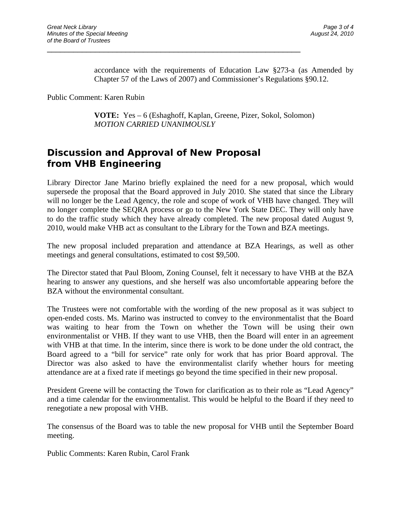accordance with the requirements of Education Law §273-a (as Amended by Chapter 57 of the Laws of 2007) and Commissioner's Regulations §90.12.

Public Comment: Karen Rubin

**VOTE:** Yes – 6 (Eshaghoff, Kaplan, Greene, Pizer, Sokol, Solomon) *MOTION CARRIED UNANIMOUSLY* 

# **Discussion and Approval of New Proposal from VHB Engineering**

\_\_\_\_\_\_\_\_\_\_\_\_\_\_\_\_\_\_\_\_\_\_\_\_\_\_\_\_\_\_\_\_\_\_\_\_\_\_\_\_\_\_\_\_\_\_\_\_\_\_\_\_\_\_\_\_\_\_

Library Director Jane Marino briefly explained the need for a new proposal, which would supersede the proposal that the Board approved in July 2010. She stated that since the Library will no longer be the Lead Agency, the role and scope of work of VHB have changed. They will no longer complete the SEQRA process or go to the New York State DEC. They will only have to do the traffic study which they have already completed. The new proposal dated August 9, 2010, would make VHB act as consultant to the Library for the Town and BZA meetings.

The new proposal included preparation and attendance at BZA Hearings, as well as other meetings and general consultations, estimated to cost \$9,500.

The Director stated that Paul Bloom, Zoning Counsel, felt it necessary to have VHB at the BZA hearing to answer any questions, and she herself was also uncomfortable appearing before the BZA without the environmental consultant.

The Trustees were not comfortable with the wording of the new proposal as it was subject to open-ended costs. Ms. Marino was instructed to convey to the environmentalist that the Board was waiting to hear from the Town on whether the Town will be using their own environmentalist or VHB. If they want to use VHB, then the Board will enter in an agreement with VHB at that time. In the interim, since there is work to be done under the old contract, the Board agreed to a "bill for service" rate only for work that has prior Board approval. The Director was also asked to have the environmentalist clarify whether hours for meeting attendance are at a fixed rate if meetings go beyond the time specified in their new proposal.

President Greene will be contacting the Town for clarification as to their role as "Lead Agency" and a time calendar for the environmentalist. This would be helpful to the Board if they need to renegotiate a new proposal with VHB.

The consensus of the Board was to table the new proposal for VHB until the September Board meeting.

Public Comments: Karen Rubin, Carol Frank